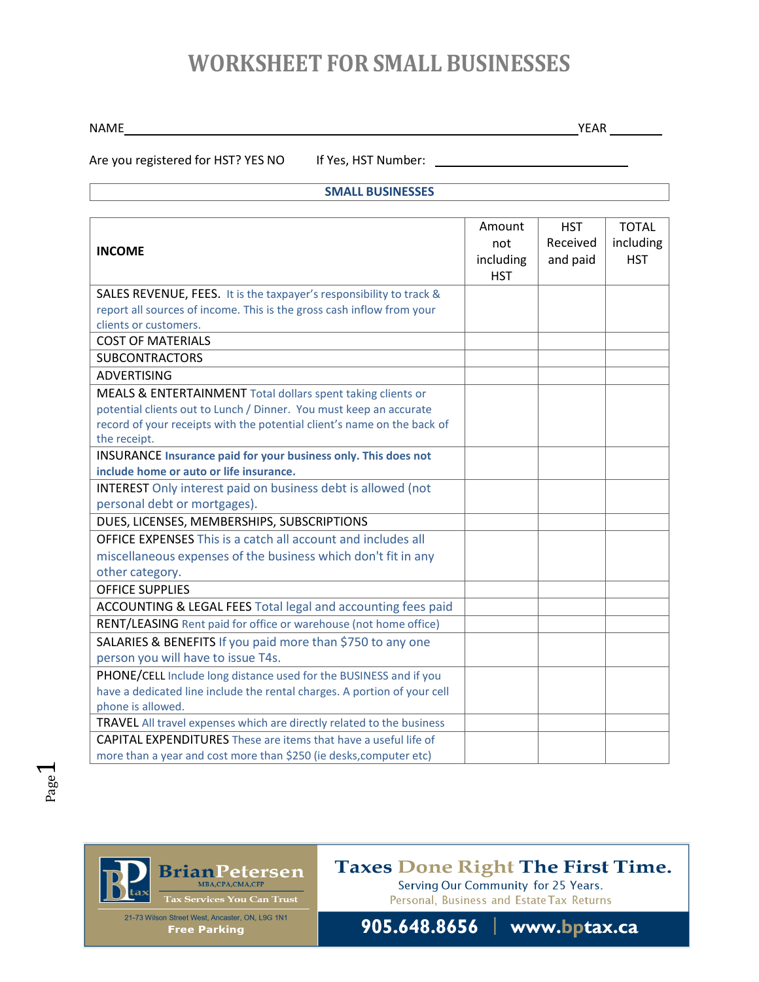## **WORKSHEET FOR SMALL BUSINESSES**

NAME YEAR THE RESERVE THE RESERVE THE RESERVE THE RESERVE THE RESERVE THE RESERVE THE RESERVE THE RESERVE THE RESERVE THE RESERVE THE RESERVE THE RESERVE THE RESERVE THE RESERVE THE RESERVE THE RESERVE THE RESERVE THE RESE

Are you registered for HST? YES NO If Yes, HST Number: \_\_\_\_\_\_\_\_\_\_\_\_\_\_\_\_\_\_\_\_\_\_\_\_\_

**SMALL BUSINESSES**

| <b>INCOME</b>                                                            | Amount<br>not<br>including<br><b>HST</b> | <b>HST</b><br>Received<br>and paid | <b>TOTAL</b><br>including<br><b>HST</b> |
|--------------------------------------------------------------------------|------------------------------------------|------------------------------------|-----------------------------------------|
| SALES REVENUE, FEES. It is the taxpayer's responsibility to track &      |                                          |                                    |                                         |
| report all sources of income. This is the gross cash inflow from your    |                                          |                                    |                                         |
| clients or customers.                                                    |                                          |                                    |                                         |
| <b>COST OF MATERIALS</b>                                                 |                                          |                                    |                                         |
| <b>SUBCONTRACTORS</b>                                                    |                                          |                                    |                                         |
| <b>ADVERTISING</b>                                                       |                                          |                                    |                                         |
| MEALS & ENTERTAINMENT Total dollars spent taking clients or              |                                          |                                    |                                         |
| potential clients out to Lunch / Dinner. You must keep an accurate       |                                          |                                    |                                         |
| record of your receipts with the potential client's name on the back of  |                                          |                                    |                                         |
| the receipt.                                                             |                                          |                                    |                                         |
| <b>INSURANCE Insurance paid for your business only. This does not</b>    |                                          |                                    |                                         |
| include home or auto or life insurance.                                  |                                          |                                    |                                         |
| <b>INTEREST</b> Only interest paid on business debt is allowed (not      |                                          |                                    |                                         |
| personal debt or mortgages).                                             |                                          |                                    |                                         |
| DUES, LICENSES, MEMBERSHIPS, SUBSCRIPTIONS                               |                                          |                                    |                                         |
| <b>OFFICE EXPENSES This is a catch all account and includes all</b>      |                                          |                                    |                                         |
| miscellaneous expenses of the business which don't fit in any            |                                          |                                    |                                         |
| other category.                                                          |                                          |                                    |                                         |
| <b>OFFICE SUPPLIES</b>                                                   |                                          |                                    |                                         |
| ACCOUNTING & LEGAL FEES Total legal and accounting fees paid             |                                          |                                    |                                         |
| RENT/LEASING Rent paid for office or warehouse (not home office)         |                                          |                                    |                                         |
| SALARIES & BENEFITS If you paid more than \$750 to any one               |                                          |                                    |                                         |
| person you will have to issue T4s.                                       |                                          |                                    |                                         |
| PHONE/CELL Include long distance used for the BUSINESS and if you        |                                          |                                    |                                         |
| have a dedicated line include the rental charges. A portion of your cell |                                          |                                    |                                         |
| phone is allowed.                                                        |                                          |                                    |                                         |
| TRAVEL All travel expenses which are directly related to the business    |                                          |                                    |                                         |
| <b>CAPITAL EXPENDITURES</b> These are items that have a useful life of   |                                          |                                    |                                         |
| more than a year and cost more than \$250 (ie desks, computer etc)       |                                          |                                    |                                         |



**Taxes Done Right The First Time.** 

905.648.8656 | www.bptax.ca

Serving Our Community for 25 Years. Personal, Business and Estate Tax Returns

21-73 Wilson Street West, Ancaster, ON, L9G 1N1 **Free Parking**